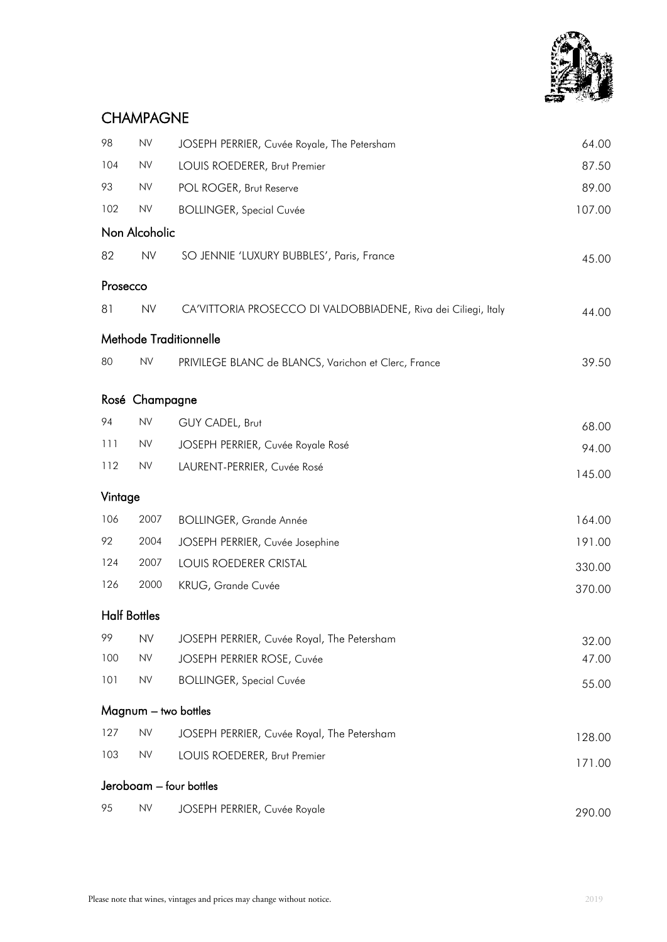

# CHAMPAGNE

| 98       | ${\sf NV}$          | JOSEPH PERRIER, Cuvée Royale, The Petersham                    | 64.00  |
|----------|---------------------|----------------------------------------------------------------|--------|
| 104      | ${\sf NV}$          | LOUIS ROEDERER, Brut Premier                                   | 87.50  |
| 93       | <b>NV</b>           | POL ROGER, Brut Reserve                                        | 89.00  |
| 102      | <b>NV</b>           | <b>BOLLINGER, Special Cuvée</b>                                | 107.00 |
|          | Non Alcoholic       |                                                                |        |
| 82       | <b>NV</b>           | SO JENNIE 'LUXURY BUBBLES', Paris, France                      | 45.00  |
| Prosecco |                     |                                                                |        |
| 81       | <b>NV</b>           | CA'VITTORIA PROSECCO DI VALDOBBIADENE, Riva dei Ciliegi, Italy | 44.00  |
|          |                     | Methode Traditionnelle                                         |        |
| 80       | <b>NV</b>           | PRIVILEGE BLANC de BLANCS, Varichon et Clerc, France           | 39.50  |
|          | Rosé Champagne      |                                                                |        |
| 94       | <b>NV</b>           | GUY CADEL, Brut                                                | 68.00  |
| 111      | <b>NV</b>           | JOSEPH PERRIER, Cuvée Royale Rosé                              | 94.00  |
| 112      | <b>NV</b>           | LAURENT-PERRIER, Cuvée Rosé                                    | 145.00 |
| Vintage  |                     |                                                                |        |
| 106      | 2007                | <b>BOLLINGER, Grande Année</b>                                 | 164.00 |
| 92       | 2004                | JOSEPH PERRIER, Cuvée Josephine                                | 191.00 |
| 124      | 2007                | LOUIS ROEDERER CRISTAL                                         | 330.00 |
| 126      | 2000                | KRUG, Grande Cuvée                                             | 370.00 |
|          | <b>Half Bottles</b> |                                                                |        |
| 99       | <b>NV</b>           | JOSEPH PERRIER, Cuvée Royal, The Petersham                     | 32.00  |
| 100      | ${\sf NV}$          | JOSEPH PERRIER ROSE, Cuvée                                     | 47.00  |
| 101      | ${\sf NV}$          | <b>BOLLINGER, Special Cuvée</b>                                | 55.00  |
|          |                     | Magnum - two bottles                                           |        |
| 127      | ${\sf NV}$          | JOSEPH PERRIER, Cuvée Royal, The Petersham                     | 128.00 |
| 103      | <b>NV</b>           | LOUIS ROEDERER, Brut Premier                                   | 171.00 |
|          |                     | Jeroboam - four bottles                                        |        |
| 95       | <b>NV</b>           | JOSEPH PERRIER, Cuvée Royale                                   | 290.00 |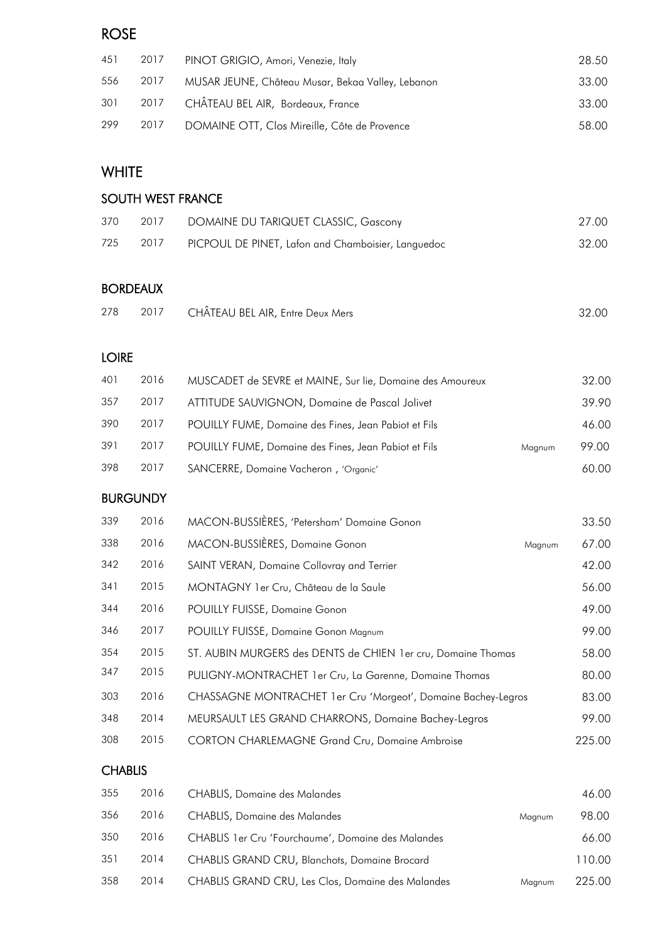## ROSE

| 451 | 2017 | PINOT GRIGIO, Amori, Venezie, Italy               | 28.50 |
|-----|------|---------------------------------------------------|-------|
| 556 | 2017 | MUSAR JEUNE, Château Musar, Bekaa Valley, Lebanon | 33.00 |
|     |      | 301 2017 CHÂTEAU BEL AIR, Bordeaux, France        | 33.00 |
| 299 | 2017 | DOMAINE OTT, Clos Mireille, Côte de Provence      | 58.00 |

## **WHITE**

### SOUTH WEST FRANCE

| 370 | 2017 | DOMAINE DU TARIQUET CLASSIC, Gascony               | 27.00 |
|-----|------|----------------------------------------------------|-------|
| 725 | 2017 | PICPOUL DE PINET, Lafon and Chamboisier, Languedoc | 32.00 |

#### BORDEAUX

| 278 |  | 2017 CHÂTEAU BEL AIR, Entre Deux Mers | 32.00 |
|-----|--|---------------------------------------|-------|
|-----|--|---------------------------------------|-------|

### LOIRE

| 401 | 2016 | MUSCADET de SEVRE et MAINE, Sur lie, Domaine des Amoureux |        | 32.00 |
|-----|------|-----------------------------------------------------------|--------|-------|
| 357 | 2017 | ATTITUDE SAUVIGNON, Domaine de Pascal Jolivet             |        | 39.90 |
| 390 | 2017 | POUILLY FUME, Domaine des Fines, Jean Pabiot et Fils      |        | 46.00 |
| 391 | 2017 | POUILLY FUME, Domaine des Fines, Jean Pabiot et Fils      | Magnum | 99.00 |
| 398 | 2017 | SANCERRE, Domaine Vacheron, 'Organic'                     |        | 60.00 |

#### **BURGUNDY**

| 339 | 2016 | MACON-BUSSIÈRES, 'Petersham' Domaine Gonon                     |        | 33.50  |
|-----|------|----------------------------------------------------------------|--------|--------|
| 338 | 2016 | MACON-BUSSIÈRES, Domaine Gonon                                 | Magnum | 67.00  |
| 342 | 2016 | SAINT VERAN, Domaine Collovray and Terrier                     |        | 42.00  |
| 341 | 2015 | MONTAGNY 1 er Cru, Château de la Saule                         |        | 56.00  |
| 344 | 2016 | POUILLY FUISSE, Domaine Gonon                                  |        | 49.00  |
| 346 | 2017 | POUILLY FUISSE, Domaine Gonon Magnum                           |        | 99.00  |
| 354 | 2015 | ST. AUBIN MURGERS des DENTS de CHIEN 1 er cru, Domaine Thomas  |        | 58.00  |
| 347 | 2015 | PULIGNY-MONTRACHET 1er Cru, La Garenne, Domaine Thomas         |        | 80.00  |
| 303 | 2016 | CHASSAGNE MONTRACHET 1 er Cru 'Morgeot', Domaine Bachey-Legros |        | 83.00  |
| 348 | 2014 | MEURSAULT LES GRAND CHARRONS, Domaine Bachey-Legros            |        | 99.00  |
| 308 | 2015 | CORTON CHARLEMAGNE Grand Cru, Domaine Ambroise                 |        | 225.00 |

#### **CHABLIS**

| 355 | 2016 | <b>CHABLIS, Domaine des Malandes</b>                |        | 46.00  |
|-----|------|-----------------------------------------------------|--------|--------|
| 356 | 2016 | <b>CHABLIS, Domaine des Malandes</b>                | Magnum | 98.00  |
| 350 | 2016 | CHABLIS 1 er Cru 'Fourchaume', Domaine des Malandes |        | 66.00  |
| 351 | 2014 | CHABLIS GRAND CRU, Blanchots, Domaine Brocard       |        | 110.00 |
| 358 | 2014 | CHABLIS GRAND CRU, Les Clos, Domaine des Malandes   | Maanum | 225.00 |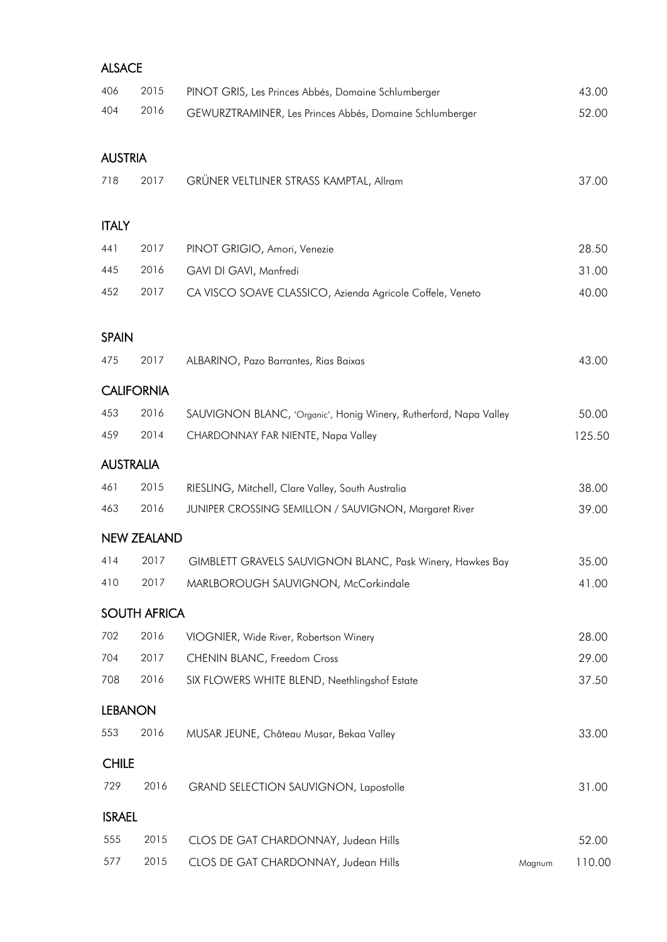### ALSACE

| 406            | 2015                | PINOT GRIS, Les Princes Abbés, Domaine Schlumberger               |        | 43.00  |
|----------------|---------------------|-------------------------------------------------------------------|--------|--------|
| 404            | 2016                | GEWURZTRAMINER, Les Princes Abbés, Domaine Schlumberger           |        | 52.00  |
| <b>AUSTRIA</b> |                     |                                                                   |        |        |
| 718            | 2017                | GRÜNER VELTLINER STRASS KAMPTAL, Allram                           |        | 37.00  |
| <b>ITALY</b>   |                     |                                                                   |        |        |
| 441            | 2017                | PINOT GRIGIO, Amori, Venezie                                      |        | 28.50  |
| 445            | 2016                | GAVI DI GAVI, Manfredi                                            |        | 31.00  |
| 452            | 2017                | CA VISCO SOAVE CLASSICO, Azienda Agricole Coffele, Veneto         |        | 40.00  |
| <b>SPAIN</b>   |                     |                                                                   |        |        |
| 475            | 2017                | ALBARINO, Pazo Barrantes, Rias Baixas                             |        | 43.00  |
|                | <b>CALIFORNIA</b>   |                                                                   |        |        |
| 453            | 2016                | SAUVIGNON BLANC, 'Organic', Honig Winery, Rutherford, Napa Valley |        | 50.00  |
| 459            | 2014                | CHARDONNAY FAR NIENTE, Napa Valley                                |        | 125.50 |
|                | <b>AUSTRALIA</b>    |                                                                   |        |        |
| 461            | 2015                | RIESLING, Mitchell, Clare Valley, South Australia                 |        | 38.00  |
| 463            | 2016                | JUNIPER CROSSING SEMILLON / SAUVIGNON, Margaret River             |        | 39.00  |
|                | <b>NEW ZEALAND</b>  |                                                                   |        |        |
| 414            | 2017                | GIMBLETT GRAVELS SAUVIGNON BLANC, Pask Winery, Hawkes Bay         |        | 35.00  |
| 410            | 2017                | MARLBOROUGH SAUVIGNON, McCorkindale                               |        | 41.00  |
|                | <b>SOUTH AFRICA</b> |                                                                   |        |        |
| 702            | 2016                | VIOGNIER, Wide River, Robertson Winery                            |        | 28.00  |
| 704            | 2017                | CHENIN BLANC, Freedom Cross                                       |        | 29.00  |
| 708            | 2016                | SIX FLOWERS WHITE BLEND, Neethlingshof Estate                     |        | 37.50  |
| <b>LEBANON</b> |                     |                                                                   |        |        |
| 553            | 2016                | MUSAR JEUNE, Château Musar, Bekaa Valley                          |        | 33.00  |
| <b>CHILE</b>   |                     |                                                                   |        |        |
| 729            | 2016                | GRAND SELECTION SAUVIGNON, Lapostolle                             |        | 31.00  |
| <b>ISRAEL</b>  |                     |                                                                   |        |        |
| 555            | 2015                | CLOS DE GAT CHARDONNAY, Judean Hills                              |        | 52.00  |
| 577            | 2015                | CLOS DE GAT CHARDONNAY, Judean Hills                              | Magnum | 110.00 |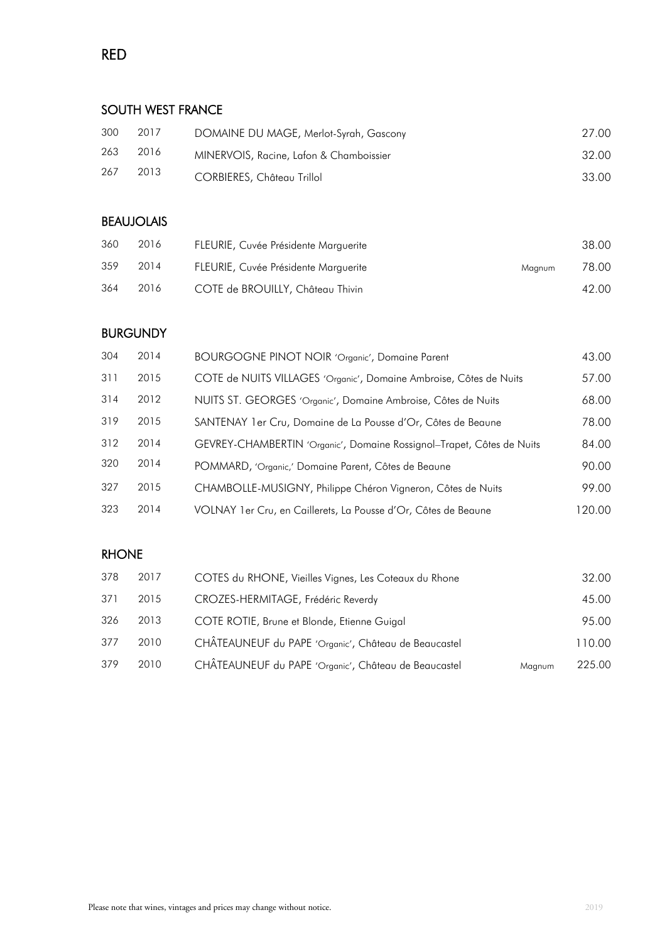## RED

### SOUTH WEST FRANCE

| 300 | 2017 | DOMAINE DU MAGE, Merlot-Syrah, Gascony  | 27.00 |
|-----|------|-----------------------------------------|-------|
| 263 | 2016 | MINERVOIS, Racine, Lafon & Chamboissier | 32.00 |
| 267 | 2013 | CORBIERES, Château Trillol              | 33.00 |

### BEAUJOLAIS

| 360 | 2016 | FLEURIE, Cuvée Présidente Marguerite |        | 38.00 |
|-----|------|--------------------------------------|--------|-------|
| 359 | 2014 | FLEURIE, Cuvée Présidente Marguerite | Maanum | 78.00 |
| 364 | 2016 | COTE de BROUILLY, Château Thivin     |        | 42.00 |

## BURGUNDY

| 304 | 2014 | BOURGOGNE PINOT NOIR 'Organic', Domaine Parent                        | 43.00  |
|-----|------|-----------------------------------------------------------------------|--------|
| 311 | 2015 | COTE de NUITS VILLAGES 'Organic', Domaine Ambroise, Côtes de Nuits    | 57.00  |
| 314 | 2012 | NUITS ST. GEORGES 'Organic', Domaine Ambroise, Côtes de Nuits         | 68.00  |
| 319 | 2015 | SANTENAY 1 er Cru, Domaine de La Pousse d'Or, Côtes de Beaune         | 78.00  |
| 312 | 2014 | GEVREY-CHAMBERTIN 'Organic', Domaine Rossignol-Trapet, Côtes de Nuits | 84.00  |
| 320 | 2014 | POMMARD, 'Organic,' Domaine Parent, Côtes de Beaune                   | 90.00  |
| 327 | 2015 | CHAMBOLLE-MUSIGNY, Philippe Chéron Vigneron, Côtes de Nuits           | 99.00  |
| 323 | 2014 | VOLNAY 1 er Cru, en Caillerets, La Pousse d'Or, Côtes de Beaune       | 120.00 |

#### RHONE

| 2017 | COTES du RHONE, Vieilles Vignes, Les Coteaux du Rhone |        | 32.00  |
|------|-------------------------------------------------------|--------|--------|
| 2015 | CROZES-HERMITAGE, Frédéric Reverdy                    |        | 45.00  |
| 2013 | COTE ROTIE, Brune et Blonde, Etienne Guigal           |        | 95.00  |
| 2010 | CHÂTEAUNEUF du PAPE 'Organic', Château de Beaucastel  |        | 110.00 |
| 2010 | CHÂTEAUNEUF du PAPE 'Organic', Château de Beaucastel  | Magnum | 225.00 |
|      |                                                       |        |        |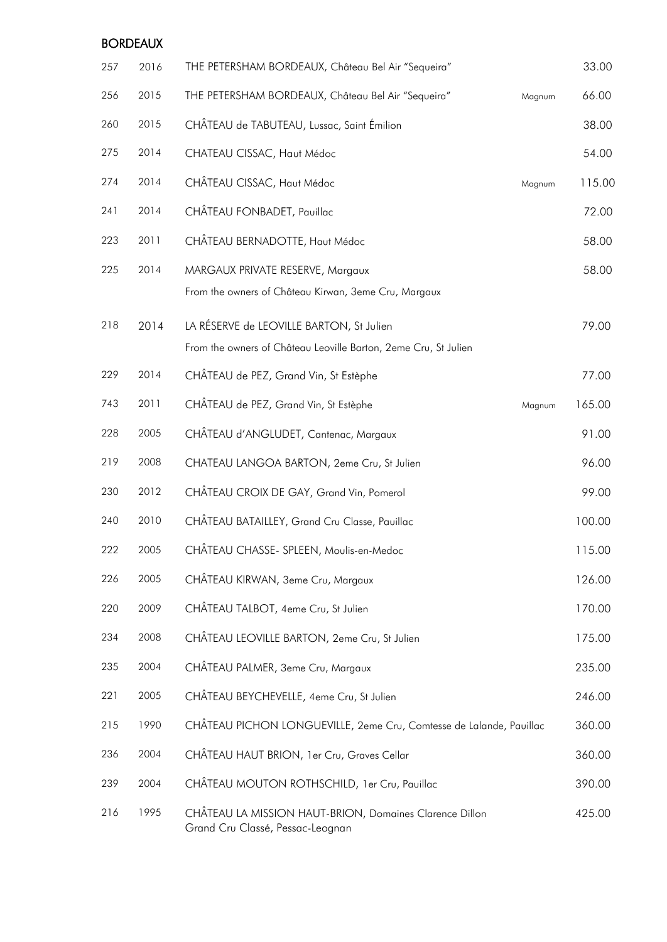#### BORDEAUX

| 257 | 2016 | THE PETERSHAM BORDEAUX, Château Bel Air "Sequeira"                                                          | 33.00  |
|-----|------|-------------------------------------------------------------------------------------------------------------|--------|
| 256 | 2015 | THE PETERSHAM BORDEAUX, Château Bel Air "Sequeira"<br>Magnum                                                | 66.00  |
| 260 | 2015 | CHÂTEAU de TABUTEAU, Lussac, Saint Émilion                                                                  | 38.00  |
| 275 | 2014 | CHATEAU CISSAC, Haut Médoc                                                                                  | 54.00  |
| 274 | 2014 | CHÂTEAU CISSAC, Haut Médoc<br>Magnum                                                                        | 115.00 |
| 241 | 2014 | CHÂTEAU FONBADET, Pauillac                                                                                  | 72.00  |
| 223 | 2011 | CHÂTEAU BERNADOTTE, Haut Médoc                                                                              | 58.00  |
| 225 | 2014 | MARGAUX PRIVATE RESERVE, Margaux<br>From the owners of Château Kirwan, 3eme Cru, Margaux                    | 58.00  |
| 218 | 2014 | LA RÉSERVE de LEOVILLE BARTON, St Julien<br>From the owners of Château Leoville Barton, 2eme Cru, St Julien | 79.00  |
| 229 | 2014 | CHÂTEAU de PEZ, Grand Vin, St Estèphe                                                                       | 77.00  |
| 743 | 2011 | CHÂTEAU de PEZ, Grand Vin, St Estèphe<br>Magnum                                                             | 165.00 |
| 228 | 2005 | CHÂTEAU d'ANGLUDET, Cantenac, Margaux                                                                       | 91.00  |
| 219 | 2008 | CHATEAU LANGOA BARTON, 2eme Cru, St Julien                                                                  | 96.00  |
| 230 | 2012 | CHÂTEAU CROIX DE GAY, Grand Vin, Pomerol                                                                    | 99.00  |
| 240 | 2010 | CHÂTEAU BATAILLEY, Grand Cru Classe, Pauillac                                                               | 100.00 |
| 222 | 2005 | CHÂTEAU CHASSE- SPLEEN, Moulis-en-Medoc                                                                     | 115.00 |
| 226 | 2005 | CHÂTEAU KIRWAN, 3eme Cru, Margaux                                                                           | 126.00 |
| 220 | 2009 | CHÂTEAU TALBOT, 4eme Cru, St Julien                                                                         | 170.00 |
| 234 | 2008 | CHÂTEAU LEOVILLE BARTON, 2eme Cru, St Julien                                                                | 175.00 |
| 235 | 2004 | CHÂTEAU PALMER, 3eme Cru, Margaux                                                                           | 235.00 |
| 221 | 2005 | CHÂTEAU BEYCHEVELLE, 4eme Cru, St Julien                                                                    | 246.00 |
| 215 | 1990 | CHÂTEAU PICHON LONGUEVILLE, 2eme Cru, Comtesse de Lalande, Pauillac                                         | 360.00 |
| 236 | 2004 | CHÂTEAU HAUT BRION, 1er Cru, Graves Cellar                                                                  | 360.00 |
| 239 | 2004 | CHÂTEAU MOUTON ROTHSCHILD, 1 er Cru, Pauillac                                                               | 390.00 |
| 216 | 1995 | CHÂTEAU LA MISSION HAUT-BRION, Domaines Clarence Dillon<br>Grand Cru Classé, Pessac-Leognan                 | 425.00 |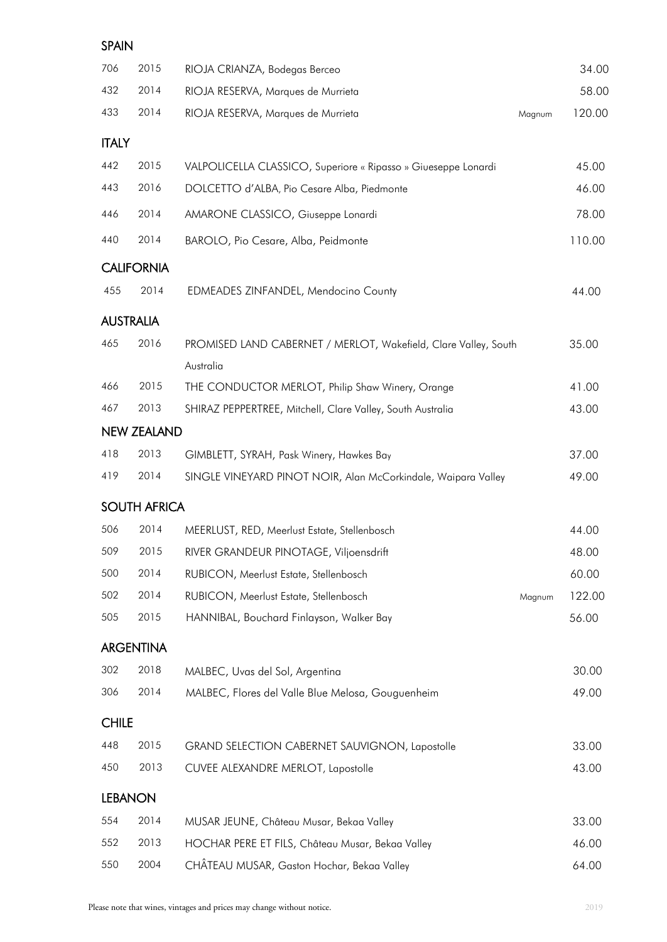#### SPAIN

| 706              | 2015                | RIOJA CRIANZA, Bodegas Berceo                                   |        | 34.00  |
|------------------|---------------------|-----------------------------------------------------------------|--------|--------|
| 432              | 2014                | RIOJA RESERVA, Marques de Murrieta                              |        | 58.00  |
| 433              | 2014                | RIOJA RESERVA, Marques de Murrieta                              | Magnum | 120.00 |
| <b>ITALY</b>     |                     |                                                                 |        |        |
| 442              | 2015                | VALPOLICELLA CLASSICO, Superiore « Ripasso » Giueseppe Lonardi  |        | 45.00  |
| 443              | 2016                | DOLCETTO d'ALBA, Pio Cesare Alba, Piedmonte                     |        | 46.00  |
| 446              | 2014                | AMARONE CLASSICO, Giuseppe Lonardi                              |        | 78.00  |
| 440              | 2014                | BAROLO, Pio Cesare, Alba, Peidmonte                             |        | 110.00 |
|                  | <b>CALIFORNIA</b>   |                                                                 |        |        |
| 455              | 2014                | EDMEADES ZINFANDEL, Mendocino County                            |        | 44.00  |
| <b>AUSTRALIA</b> |                     |                                                                 |        |        |
| 465              | 2016                | PROMISED LAND CABERNET / MERLOT, Wakefield, Clare Valley, South |        | 35.00  |
|                  |                     | Australia                                                       |        |        |
| 466              | 2015                | THE CONDUCTOR MERLOT, Philip Shaw Winery, Orange                |        | 41.00  |
| 467              | 2013                | SHIRAZ PEPPERTREE, Mitchell, Clare Valley, South Australia      |        | 43.00  |
|                  | <b>NEW ZEALAND</b>  |                                                                 |        |        |
| 418              | 2013                | GIMBLETT, SYRAH, Pask Winery, Hawkes Bay                        |        | 37.00  |
| 419              | 2014                | SINGLE VINEYARD PINOT NOIR, Alan McCorkindale, Waipara Valley   |        | 49.00  |
|                  | <b>SOUTH AFRICA</b> |                                                                 |        |        |
| 506              | 2014                | MEERLUST, RED, Meerlust Estate, Stellenbosch                    |        | 44.00  |
| 509              | 2015                | RIVER GRANDEUR PINOTAGE, Viljoensdrift                          |        | 48.00  |
| 500              | 2014                | RUBICON, Meerlust Estate, Stellenbosch                          |        | 60.00  |
| 502              | 2014                | RUBICON, Meerlust Estate, Stellenbosch                          | Magnum | 122.00 |
| 505              | 2015                | HANNIBAL, Bouchard Finlayson, Walker Bay                        |        | 56.00  |
|                  | <b>ARGENTINA</b>    |                                                                 |        |        |
| 302              | 2018                | MALBEC, Uvas del Sol, Argentina                                 |        | 30.00  |
| 306              | 2014                | MALBEC, Flores del Valle Blue Melosa, Gouguenheim               |        | 49.00  |
| <b>CHILE</b>     |                     |                                                                 |        |        |
| 448              | 2015                | GRAND SELECTION CABERNET SAUVIGNON, Lapostolle                  |        | 33.00  |
| 450              | 2013                | CUVEE ALEXANDRE MERLOT, Lapostolle                              |        | 43.00  |
| <b>LEBANON</b>   |                     |                                                                 |        |        |
| 554              | 2014                | MUSAR JEUNE, Château Musar, Bekaa Valley                        |        | 33.00  |
| 552              | 2013                | HOCHAR PERE ET FILS, Château Musar, Bekaa Valley                |        | 46.00  |
| 550              | 2004                | CHÂTEAU MUSAR, Gaston Hochar, Bekaa Valley                      |        | 64.00  |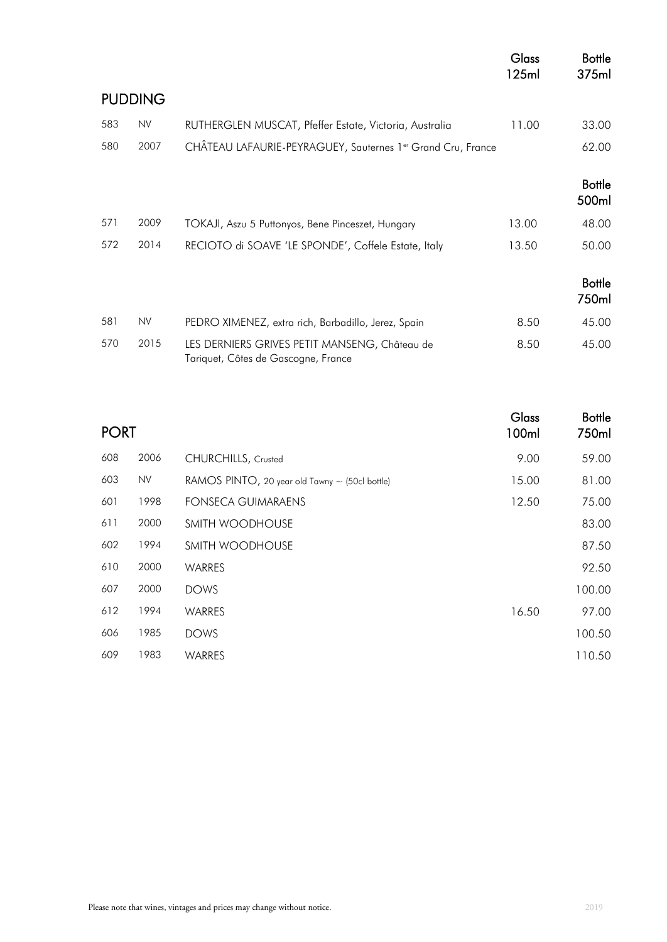|                |           |                                                                                      | <b>Glass</b><br>125ml | <b>Bottle</b><br>375ml |
|----------------|-----------|--------------------------------------------------------------------------------------|-----------------------|------------------------|
| <b>PUDDING</b> |           |                                                                                      |                       |                        |
| 583            | <b>NV</b> | RUTHERGLEN MUSCAT, Pfeffer Estate, Victoria, Australia                               | 11.00                 | 33.00                  |
| 580            | 2007      | CHÂTEAU LAFAURIE-PEYRAGUEY, Sauternes 1er Grand Cru, France                          |                       | 62.00                  |
|                |           |                                                                                      |                       | <b>Bottle</b><br>500ml |
| 571            | 2009      | TOKAJI, Aszu 5 Puttonyos, Bene Pinceszet, Hungary                                    | 13.00                 | 48.00                  |
| 572            | 2014      | RECIOTO di SOAVE 'LE SPONDE', Coffele Estate, Italy                                  | 13.50                 | 50.00                  |
|                |           |                                                                                      |                       | <b>Bottle</b><br>750ml |
| 581            | <b>NV</b> | PEDRO XIMENEZ, extra rich, Barbadillo, Jerez, Spain                                  | 8.50                  | 45.00                  |
| 570            | 2015      | LES DERNIERS GRIVES PETIT MANSENG, Château de<br>Tariquet, Côtes de Gascogne, France | 8.50                  | 45.00                  |

| <b>PORT</b> |           | Glass<br>100ml                                 | <b>Bottle</b><br>750ml |        |
|-------------|-----------|------------------------------------------------|------------------------|--------|
| 608         | 2006      | CHURCHILLS, Crusted                            | 9.00                   | 59.00  |
| 603         | <b>NV</b> | RAMOS PINTO, 20 year old Tawny ~ (50cl bottle) | 15.00                  | 81.00  |
| 601         | 1998      | <b>FONSECA GUIMARAENS</b>                      | 12.50                  | 75.00  |
| 611         | 2000      | SMITH WOODHOUSE                                |                        | 83.00  |
| 602         | 1994      | SMITH WOODHOUSE                                |                        | 87.50  |
| 610         | 2000      | WARRES                                         |                        | 92.50  |
| 607         | 2000      | <b>DOWS</b>                                    |                        | 100.00 |
| 612         | 1994      | WARRES                                         | 16.50                  | 97.00  |
| 606         | 1985      | <b>DOWS</b>                                    |                        | 100.50 |
| 609         | 1983      | WARRES                                         |                        | 110.50 |
|             |           |                                                |                        |        |